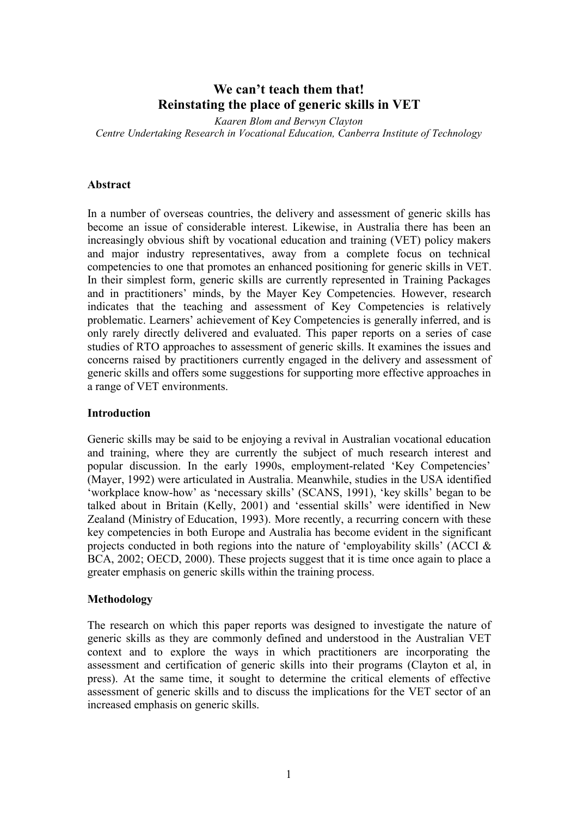# **We can't teach them that! Reinstating the place of generic skills in VET**

*Kaaren Blom and Berwyn Clayton Centre Undertaking Research in Vocational Education, Canberra Institute of Technology*

#### **Abstract**

In a number of overseas countries, the delivery and assessment of generic skills has become an issue of considerable interest. Likewise, in Australia there has been an increasingly obvious shift by vocational education and training (VET) policy makers and major industry representatives, away from a complete focus on technical competencies to one that promotes an enhanced positioning for generic skills in VET. In their simplest form, generic skills are currently represented in Training Packages and in practitioners' minds, by the Mayer Key Competencies. However, research indicates that the teaching and assessment of Key Competencies is relatively problematic. Learners' achievement of Key Competencies is generally inferred, and is only rarely directly delivered and evaluated. This paper reports on a series of case studies of RTO approaches to assessment of generic skills. It examines the issues and concerns raised by practitioners currently engaged in the delivery and assessment of generic skills and offers some suggestions for supporting more effective approaches in a range of VET environments.

#### **Introduction**

Generic skills may be said to be enjoying a revival in Australian vocational education and training, where they are currently the subject of much research interest and popular discussion. In the early 1990s, employment-related 'Key Competencies' (Mayer, 1992) were articulated in Australia. Meanwhile, studies in the USA identified 'workplace know-how' as 'necessary skills' (SCANS, 1991), 'key skills' began to be talked about in Britain (Kelly, 2001) and 'essential skills' were identified in New Zealand (Ministry of Education, 1993). More recently, a recurring concern with these key competencies in both Europe and Australia has become evident in the significant projects conducted in both regions into the nature of 'employability skills' (ACCI & BCA, 2002; OECD, 2000). These projects suggest that it is time once again to place a greater emphasis on generic skills within the training process.

#### **Methodology**

The research on which this paper reports was designed to investigate the nature of generic skills as they are commonly defined and understood in the Australian VET context and to explore the ways in which practitioners are incorporating the assessment and certification of generic skills into their programs (Clayton et al, in press). At the same time, it sought to determine the critical elements of effective assessment of generic skills and to discuss the implications for the VET sector of an increased emphasis on generic skills.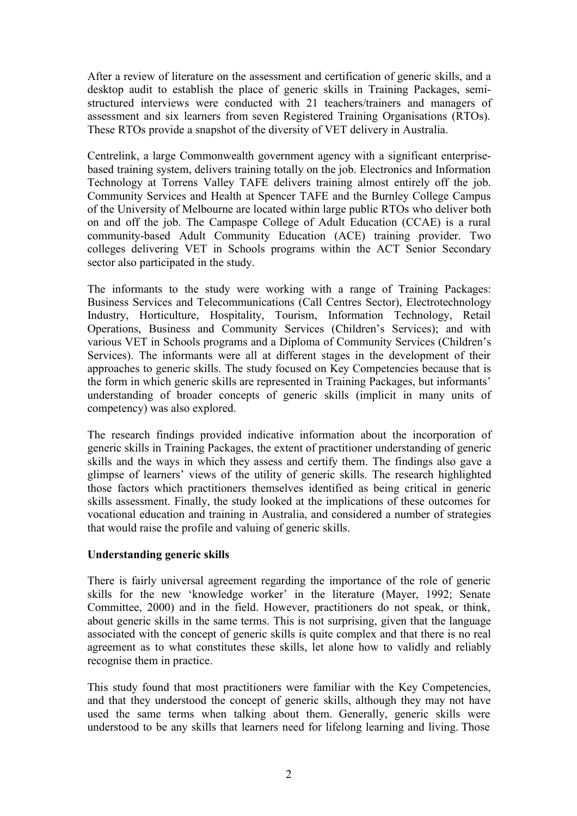After a review of literature on the assessment and certification of generic skills, and a desktop audit to establish the place of generic skills in Training Packages, semistructured interviews were conducted with 21 teachers/trainers and managers of assessment and six learners from seven Registered Training Organisations (RTOs). These RTOs provide a snapshot of the diversity of VET delivery in Australia.

Centrelink, a large Commonwealth government agency with a significant enterprisebased training system, delivers training totally on the job. Electronics and Information Technology at Torrens Valley TAFE delivers training almost entirely off the job. Community Services and Health at Spencer TAFE and the Burnley College Campus of the University of Melbourne are located within large public RTOs who deliver both on and off the job. The Campaspe College of Adult Education (CCAE) is a rural community-based Adult Community Education (ACE) training provider. Two colleges delivering VET in Schools programs within the ACT Senior Secondary sector also participated in the study.

The informants to the study were working with a range of Training Packages: Business Services and Telecommunications (Call Centres Sector), Electrotechnology Industry, Horticulture, Hospitality, Tourism, Information Technology, Retail Operations, Business and Community Services (Children's Services); and with various VET in Schools programs and a Diploma of Community Services (Children's Services). The informants were all at different stages in the development of their approaches to generic skills. The study focused on Key Competencies because that is the form in which generic skills are represented in Training Packages, but informants' understanding of broader concepts of generic skills (implicit in many units of competency) was also explored.

The research findings provided indicative information about the incorporation of generic skills in Training Packages, the extent of practitioner understanding of generic skills and the ways in which they assess and certify them. The findings also gave a glimpse of learners' views of the utility of generic skills. The research highlighted those factors which practitioners themselves identified as being critical in generic skills assessment. Finally, the study looked at the implications of these outcomes for vocational education and training in Australia, and considered a number of strategies that would raise the profile and valuing of generic skills.

# **Understanding generic skills**

There is fairly universal agreement regarding the importance of the role of generic skills for the new 'knowledge worker' in the literature (Mayer, 1992; Senate Committee, 2000) and in the field. However, practitioners do not speak, or think, about generic skills in the same terms. This is not surprising, given that the language associated with the concept of generic skills is quite complex and that there is no real agreement as to what constitutes these skills, let alone how to validly and reliably recognise them in practice.

This study found that most practitioners were familiar with the Key Competencies, and that they understood the concept of generic skills, although they may not have used the same terms when talking about them. Generally, generic skills were understood to be any skills that learners need for lifelong learning and living. Those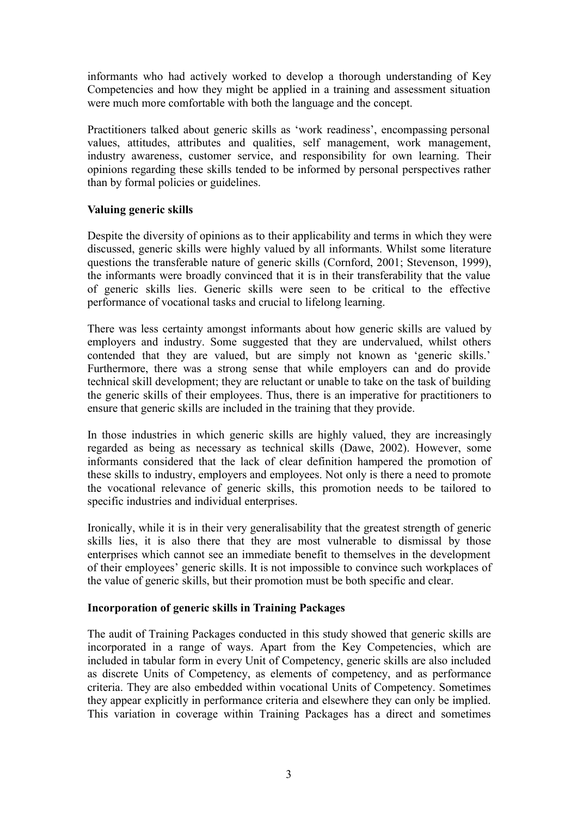informants who had actively worked to develop a thorough understanding of Key Competencies and how they might be applied in a training and assessment situation were much more comfortable with both the language and the concept.

Practitioners talked about generic skills as 'work readiness', encompassing personal values, attitudes, attributes and qualities, self management, work management, industry awareness, customer service, and responsibility for own learning. Their opinions regarding these skills tended to be informed by personal perspectives rather than by formal policies or guidelines.

## **Valuing generic skills**

Despite the diversity of opinions as to their applicability and terms in which they were discussed, generic skills were highly valued by all informants. Whilst some literature questions the transferable nature of generic skills (Cornford, 2001; Stevenson, 1999), the informants were broadly convinced that it is in their transferability that the value of generic skills lies. Generic skills were seen to be critical to the effective performance of vocational tasks and crucial to lifelong learning.

There was less certainty amongst informants about how generic skills are valued by employers and industry. Some suggested that they are undervalued, whilst others contended that they are valued, but are simply not known as 'generic skills.' Furthermore, there was a strong sense that while employers can and do provide technical skill development; they are reluctant or unable to take on the task of building the generic skills of their employees. Thus, there is an imperative for practitioners to ensure that generic skills are included in the training that they provide.

In those industries in which generic skills are highly valued, they are increasingly regarded as being as necessary as technical skills (Dawe, 2002). However, some informants considered that the lack of clear definition hampered the promotion of these skills to industry, employers and employees. Not only is there a need to promote the vocational relevance of generic skills, this promotion needs to be tailored to specific industries and individual enterprises.

Ironically, while it is in their very generalisability that the greatest strength of generic skills lies, it is also there that they are most vulnerable to dismissal by those enterprises which cannot see an immediate benefit to themselves in the development of their employees' generic skills. It is not impossible to convince such workplaces of the value of generic skills, but their promotion must be both specific and clear.

# **Incorporation of generic skills in Training Packages**

The audit of Training Packages conducted in this study showed that generic skills are incorporated in a range of ways. Apart from the Key Competencies, which are included in tabular form in every Unit of Competency, generic skills are also included as discrete Units of Competency, as elements of competency, and as performance criteria. They are also embedded within vocational Units of Competency. Sometimes they appear explicitly in performance criteria and elsewhere they can only be implied. This variation in coverage within Training Packages has a direct and sometimes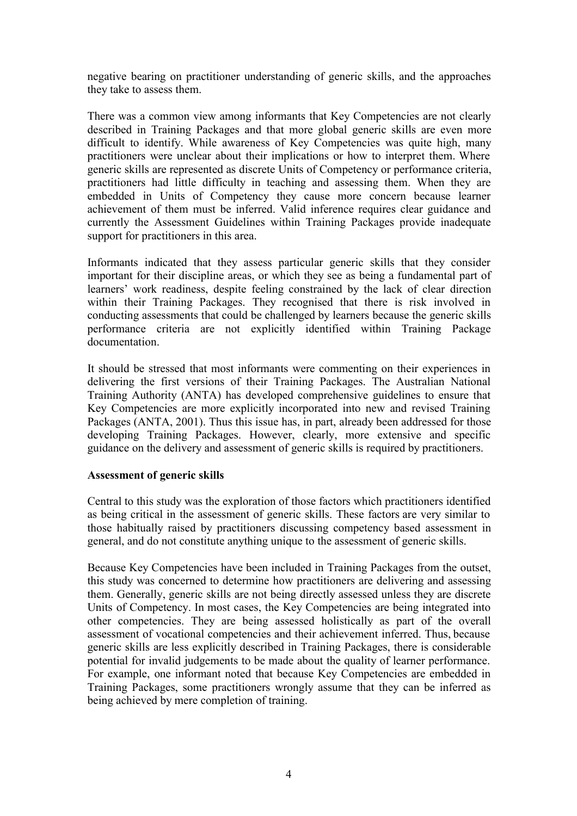negative bearing on practitioner understanding of generic skills, and the approaches they take to assess them.

There was a common view among informants that Key Competencies are not clearly described in Training Packages and that more global generic skills are even more difficult to identify. While awareness of Key Competencies was quite high, many practitioners were unclear about their implications or how to interpret them. Where generic skills are represented as discrete Units of Competency or performance criteria, practitioners had little difficulty in teaching and assessing them. When they are embedded in Units of Competency they cause more concern because learner achievement of them must be inferred. Valid inference requires clear guidance and currently the Assessment Guidelines within Training Packages provide inadequate support for practitioners in this area.

Informants indicated that they assess particular generic skills that they consider important for their discipline areas, or which they see as being a fundamental part of learners' work readiness, despite feeling constrained by the lack of clear direction within their Training Packages. They recognised that there is risk involved in conducting assessments that could be challenged by learners because the generic skills performance criteria are not explicitly identified within Training Package documentation.

It should be stressed that most informants were commenting on their experiences in delivering the first versions of their Training Packages. The Australian National Training Authority (ANTA) has developed comprehensive guidelines to ensure that Key Competencies are more explicitly incorporated into new and revised Training Packages (ANTA, 2001). Thus this issue has, in part, already been addressed for those developing Training Packages. However, clearly, more extensive and specific guidance on the delivery and assessment of generic skills is required by practitioners.

#### **Assessment of generic skills**

Central to this study was the exploration of those factors which practitioners identified as being critical in the assessment of generic skills. These factors are very similar to those habitually raised by practitioners discussing competency based assessment in general, and do not constitute anything unique to the assessment of generic skills.

Because Key Competencies have been included in Training Packages from the outset, this study was concerned to determine how practitioners are delivering and assessing them. Generally, generic skills are not being directly assessed unless they are discrete Units of Competency. In most cases, the Key Competencies are being integrated into other competencies. They are being assessed holistically as part of the overall assessment of vocational competencies and their achievement inferred. Thus, because generic skills are less explicitly described in Training Packages, there is considerable potential for invalid judgements to be made about the quality of learner performance. For example, one informant noted that because Key Competencies are embedded in Training Packages, some practitioners wrongly assume that they can be inferred as being achieved by mere completion of training.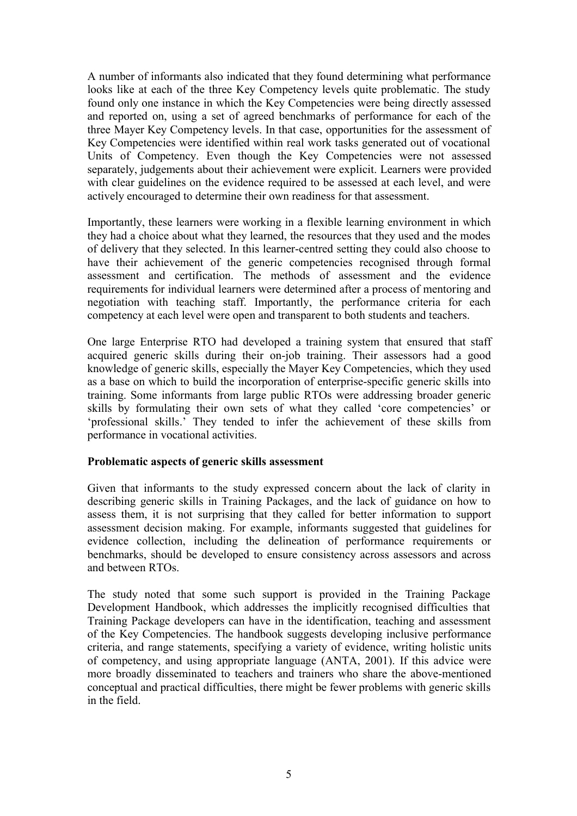A number of informants also indicated that they found determining what performance looks like at each of the three Key Competency levels quite problematic. The study found only one instance in which the Key Competencies were being directly assessed and reported on, using a set of agreed benchmarks of performance for each of the three Mayer Key Competency levels. In that case, opportunities for the assessment of Key Competencies were identified within real work tasks generated out of vocational Units of Competency. Even though the Key Competencies were not assessed separately, judgements about their achievement were explicit. Learners were provided with clear guidelines on the evidence required to be assessed at each level, and were actively encouraged to determine their own readiness for that assessment.

Importantly, these learners were working in a flexible learning environment in which they had a choice about what they learned, the resources that they used and the modes of delivery that they selected. In this learner-centred setting they could also choose to have their achievement of the generic competencies recognised through formal assessment and certification. The methods of assessment and the evidence requirements for individual learners were determined after a process of mentoring and negotiation with teaching staff. Importantly, the performance criteria for each competency at each level were open and transparent to both students and teachers.

One large Enterprise RTO had developed a training system that ensured that staff acquired generic skills during their on-job training. Their assessors had a good knowledge of generic skills, especially the Mayer Key Competencies, which they used as a base on which to build the incorporation of enterprise-specific generic skills into training. Some informants from large public RTOs were addressing broader generic skills by formulating their own sets of what they called 'core competencies' or 'professional skills.' They tended to infer the achievement of these skills from performance in vocational activities.

#### **Problematic aspects of generic skills assessment**

Given that informants to the study expressed concern about the lack of clarity in describing generic skills in Training Packages, and the lack of guidance on how to assess them, it is not surprising that they called for better information to support assessment decision making. For example, informants suggested that guidelines for evidence collection, including the delineation of performance requirements or benchmarks, should be developed to ensure consistency across assessors and across and between RTOs.

The study noted that some such support is provided in the Training Package Development Handbook, which addresses the implicitly recognised difficulties that Training Package developers can have in the identification, teaching and assessment of the Key Competencies. The handbook suggests developing inclusive performance criteria, and range statements, specifying a variety of evidence, writing holistic units of competency, and using appropriate language (ANTA, 2001). If this advice were more broadly disseminated to teachers and trainers who share the above-mentioned conceptual and practical difficulties, there might be fewer problems with generic skills in the field.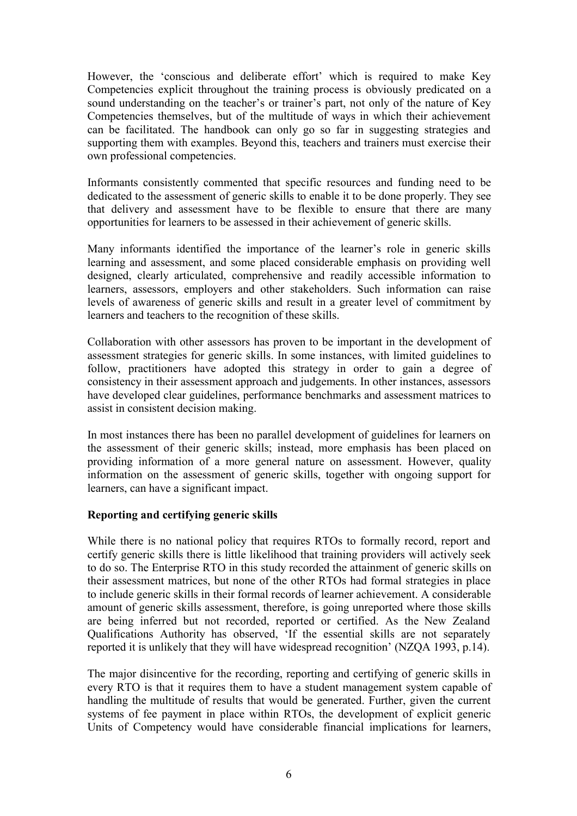However, the 'conscious and deliberate effort' which is required to make Key Competencies explicit throughout the training process is obviously predicated on a sound understanding on the teacher's or trainer's part, not only of the nature of Key Competencies themselves, but of the multitude of ways in which their achievement can be facilitated. The handbook can only go so far in suggesting strategies and supporting them with examples. Beyond this, teachers and trainers must exercise their own professional competencies.

Informants consistently commented that specific resources and funding need to be dedicated to the assessment of generic skills to enable it to be done properly. They see that delivery and assessment have to be flexible to ensure that there are many opportunities for learners to be assessed in their achievement of generic skills.

Many informants identified the importance of the learner's role in generic skills learning and assessment, and some placed considerable emphasis on providing well designed, clearly articulated, comprehensive and readily accessible information to learners, assessors, employers and other stakeholders. Such information can raise levels of awareness of generic skills and result in a greater level of commitment by learners and teachers to the recognition of these skills.

Collaboration with other assessors has proven to be important in the development of assessment strategies for generic skills. In some instances, with limited guidelines to follow, practitioners have adopted this strategy in order to gain a degree of consistency in their assessment approach and judgements. In other instances, assessors have developed clear guidelines, performance benchmarks and assessment matrices to assist in consistent decision making.

In most instances there has been no parallel development of guidelines for learners on the assessment of their generic skills; instead, more emphasis has been placed on providing information of a more general nature on assessment. However, quality information on the assessment of generic skills, together with ongoing support for learners, can have a significant impact.

#### **Reporting and certifying generic skills**

While there is no national policy that requires RTOs to formally record, report and certify generic skills there is little likelihood that training providers will actively seek to do so. The Enterprise RTO in this study recorded the attainment of generic skills on their assessment matrices, but none of the other RTOs had formal strategies in place to include generic skills in their formal records of learner achievement. A considerable amount of generic skills assessment, therefore, is going unreported where those skills are being inferred but not recorded, reported or certified. As the New Zealand Qualifications Authority has observed, 'If the essential skills are not separately reported it is unlikely that they will have widespread recognition' (NZQA 1993, p.14).

The major disincentive for the recording, reporting and certifying of generic skills in every RTO is that it requires them to have a student management system capable of handling the multitude of results that would be generated. Further, given the current systems of fee payment in place within RTOs, the development of explicit generic Units of Competency would have considerable financial implications for learners,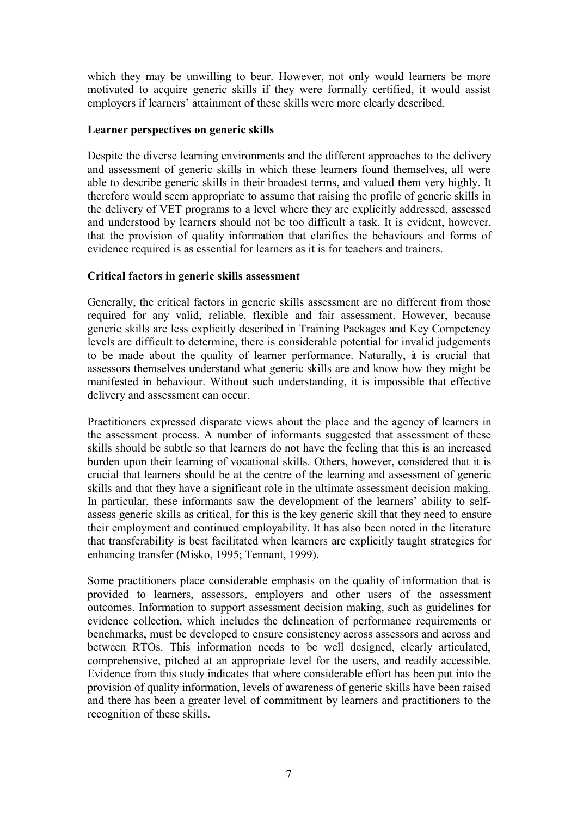which they may be unwilling to bear. However, not only would learners be more motivated to acquire generic skills if they were formally certified, it would assist employers if learners' attainment of these skills were more clearly described.

#### **Learner perspectives on generic skills**

Despite the diverse learning environments and the different approaches to the delivery and assessment of generic skills in which these learners found themselves, all were able to describe generic skills in their broadest terms, and valued them very highly. It therefore would seem appropriate to assume that raising the profile of generic skills in the delivery of VET programs to a level where they are explicitly addressed, assessed and understood by learners should not be too difficult a task. It is evident, however, that the provision of quality information that clarifies the behaviours and forms of evidence required is as essential for learners as it is for teachers and trainers.

## **Critical factors in generic skills assessment**

Generally, the critical factors in generic skills assessment are no different from those required for any valid, reliable, flexible and fair assessment. However, because generic skills are less explicitly described in Training Packages and Key Competency levels are difficult to determine, there is considerable potential for invalid judgements to be made about the quality of learner performance. Naturally, it is crucial that assessors themselves understand what generic skills are and know how they might be manifested in behaviour. Without such understanding, it is impossible that effective delivery and assessment can occur.

Practitioners expressed disparate views about the place and the agency of learners in the assessment process. A number of informants suggested that assessment of these skills should be subtle so that learners do not have the feeling that this is an increased burden upon their learning of vocational skills. Others, however, considered that it is crucial that learners should be at the centre of the learning and assessment of generic skills and that they have a significant role in the ultimate assessment decision making. In particular, these informants saw the development of the learners' ability to selfassess generic skills as critical, for this is the key generic skill that they need to ensure their employment and continued employability. It has also been noted in the literature that transferability is best facilitated when learners are explicitly taught strategies for enhancing transfer (Misko, 1995; Tennant, 1999).

Some practitioners place considerable emphasis on the quality of information that is provided to learners, assessors, employers and other users of the assessment outcomes. Information to support assessment decision making, such as guidelines for evidence collection, which includes the delineation of performance requirements or benchmarks, must be developed to ensure consistency across assessors and across and between RTOs. This information needs to be well designed, clearly articulated, comprehensive, pitched at an appropriate level for the users, and readily accessible. Evidence from this study indicates that where considerable effort has been put into the provision of quality information, levels of awareness of generic skills have been raised and there has been a greater level of commitment by learners and practitioners to the recognition of these skills.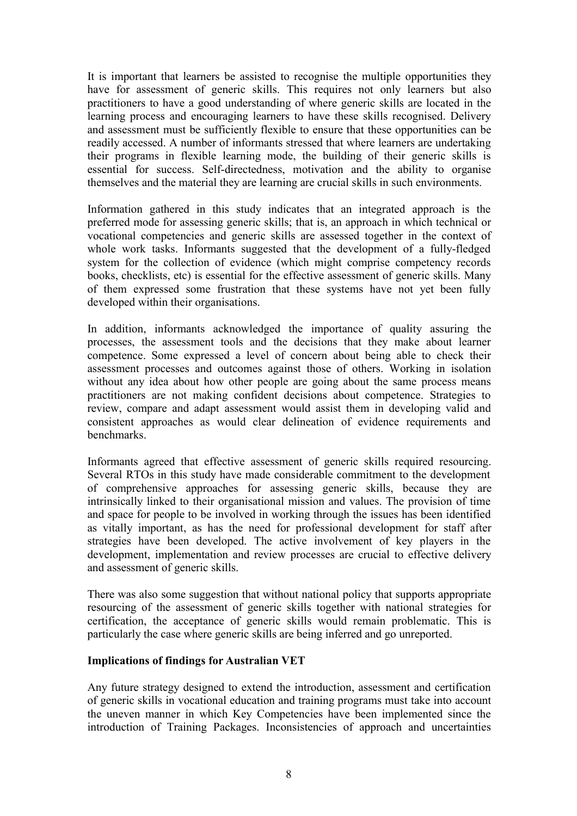It is important that learners be assisted to recognise the multiple opportunities they have for assessment of generic skills. This requires not only learners but also practitioners to have a good understanding of where generic skills are located in the learning process and encouraging learners to have these skills recognised. Delivery and assessment must be sufficiently flexible to ensure that these opportunities can be readily accessed. A number of informants stressed that where learners are undertaking their programs in flexible learning mode, the building of their generic skills is essential for success. Self-directedness, motivation and the ability to organise themselves and the material they are learning are crucial skills in such environments.

Information gathered in this study indicates that an integrated approach is the preferred mode for assessing generic skills; that is, an approach in which technical or vocational competencies and generic skills are assessed together in the context of whole work tasks. Informants suggested that the development of a fully-fledged system for the collection of evidence (which might comprise competency records books, checklists, etc) is essential for the effective assessment of generic skills. Many of them expressed some frustration that these systems have not yet been fully developed within their organisations.

In addition, informants acknowledged the importance of quality assuring the processes, the assessment tools and the decisions that they make about learner competence. Some expressed a level of concern about being able to check their assessment processes and outcomes against those of others. Working in isolation without any idea about how other people are going about the same process means practitioners are not making confident decisions about competence. Strategies to review, compare and adapt assessment would assist them in developing valid and consistent approaches as would clear delineation of evidence requirements and benchmarks.

Informants agreed that effective assessment of generic skills required resourcing. Several RTOs in this study have made considerable commitment to the development of comprehensive approaches for assessing generic skills, because they are intrinsically linked to their organisational mission and values. The provision of time and space for people to be involved in working through the issues has been identified as vitally important, as has the need for professional development for staff after strategies have been developed. The active involvement of key players in the development, implementation and review processes are crucial to effective delivery and assessment of generic skills.

There was also some suggestion that without national policy that supports appropriate resourcing of the assessment of generic skills together with national strategies for certification, the acceptance of generic skills would remain problematic. This is particularly the case where generic skills are being inferred and go unreported.

#### **Implications of findings for Australian VET**

Any future strategy designed to extend the introduction, assessment and certification of generic skills in vocational education and training programs must take into account the uneven manner in which Key Competencies have been implemented since the introduction of Training Packages. Inconsistencies of approach and uncertainties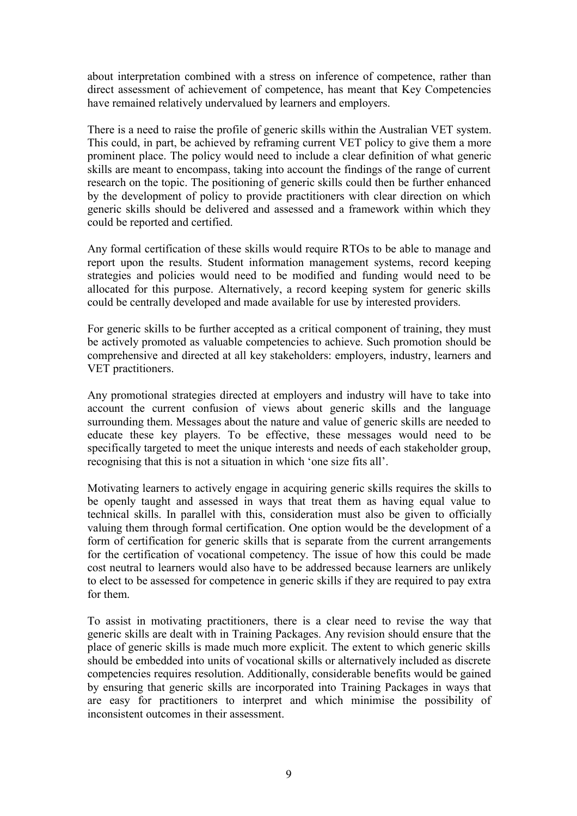about interpretation combined with a stress on inference of competence, rather than direct assessment of achievement of competence, has meant that Key Competencies have remained relatively undervalued by learners and employers.

There is a need to raise the profile of generic skills within the Australian VET system. This could, in part, be achieved by reframing current VET policy to give them a more prominent place. The policy would need to include a clear definition of what generic skills are meant to encompass, taking into account the findings of the range of current research on the topic. The positioning of generic skills could then be further enhanced by the development of policy to provide practitioners with clear direction on which generic skills should be delivered and assessed and a framework within which they could be reported and certified.

Any formal certification of these skills would require RTOs to be able to manage and report upon the results. Student information management systems, record keeping strategies and policies would need to be modified and funding would need to be allocated for this purpose. Alternatively, a record keeping system for generic skills could be centrally developed and made available for use by interested providers.

For generic skills to be further accepted as a critical component of training, they must be actively promoted as valuable competencies to achieve. Such promotion should be comprehensive and directed at all key stakeholders: employers, industry, learners and VET practitioners.

Any promotional strategies directed at employers and industry will have to take into account the current confusion of views about generic skills and the language surrounding them. Messages about the nature and value of generic skills are needed to educate these key players. To be effective, these messages would need to be specifically targeted to meet the unique interests and needs of each stakeholder group, recognising that this is not a situation in which 'one size fits all'.

Motivating learners to actively engage in acquiring generic skills requires the skills to be openly taught and assessed in ways that treat them as having equal value to technical skills. In parallel with this, consideration must also be given to officially valuing them through formal certification. One option would be the development of a form of certification for generic skills that is separate from the current arrangements for the certification of vocational competency. The issue of how this could be made cost neutral to learners would also have to be addressed because learners are unlikely to elect to be assessed for competence in generic skills if they are required to pay extra for them.

To assist in motivating practitioners, there is a clear need to revise the way that generic skills are dealt with in Training Packages. Any revision should ensure that the place of generic skills is made much more explicit. The extent to which generic skills should be embedded into units of vocational skills or alternatively included as discrete competencies requires resolution. Additionally, considerable benefits would be gained by ensuring that generic skills are incorporated into Training Packages in ways that are easy for practitioners to interpret and which minimise the possibility of inconsistent outcomes in their assessment.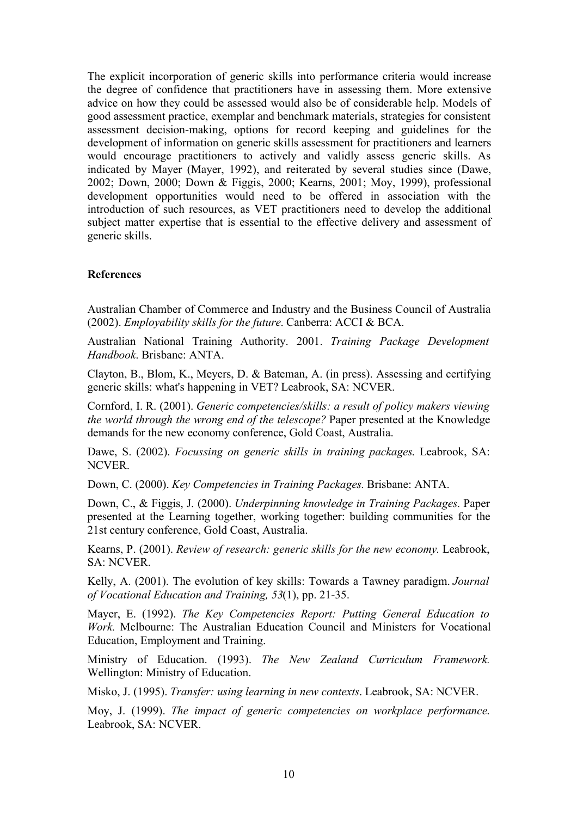The explicit incorporation of generic skills into performance criteria would increase the degree of confidence that practitioners have in assessing them. More extensive advice on how they could be assessed would also be of considerable help. Models of good assessment practice, exemplar and benchmark materials, strategies for consistent assessment decision-making, options for record keeping and guidelines for the development of information on generic skills assessment for practitioners and learners would encourage practitioners to actively and validly assess generic skills. As indicated by Mayer (Mayer, 1992), and reiterated by several studies since (Dawe, 2002; Down, 2000; Down & Figgis, 2000; Kearns, 2001; Moy, 1999), professional development opportunities would need to be offered in association with the introduction of such resources, as VET practitioners need to develop the additional subject matter expertise that is essential to the effective delivery and assessment of generic skills.

## **References**

Australian Chamber of Commerce and Industry and the Business Council of Australia (2002). *Employability skills for the future*. Canberra: ACCI & BCA.

Australian National Training Authority. 2001. *Training Package Development Handbook*. Brisbane: ANTA.

Clayton, B., Blom, K., Meyers, D. & Bateman, A. (in press). Assessing and certifying generic skills: what's happening in VET? Leabrook, SA: NCVER.

Cornford, I. R. (2001). *Generic competencies/skills: a result of policy makers viewing the world through the wrong end of the telescope?* Paper presented at the Knowledge demands for the new economy conference, Gold Coast, Australia.

Dawe, S. (2002). *Focussing on generic skills in training packages*. Leabrook, SA: NCVER.

Down, C. (2000). *Key Competencies in Training Packages.* Brisbane: ANTA.

Down, C., & Figgis, J. (2000). *Underpinning knowledge in Training Packages.* Paper presented at the Learning together, working together: building communities for the 21st century conference, Gold Coast, Australia.

Kearns, P. (2001). *Review of research: generic skills for the new economy.* Leabrook, SA: NCVER.

Kelly, A. (2001). The evolution of key skills: Towards a Tawney paradigm. *Journal of Vocational Education and Training, 53*(1), pp. 21-35.

Mayer, E. (1992). *The Key Competencies Report: Putting General Education to Work.* Melbourne: The Australian Education Council and Ministers for Vocational Education, Employment and Training.

Ministry of Education. (1993). *The New Zealand Curriculum Framework.* Wellington: Ministry of Education.

Misko, J. (1995). *Transfer: using learning in new contexts*. Leabrook, SA: NCVER.

Moy, J. (1999). *The impact of generic competencies on workplace performance*. Leabrook, SA: NCVER.